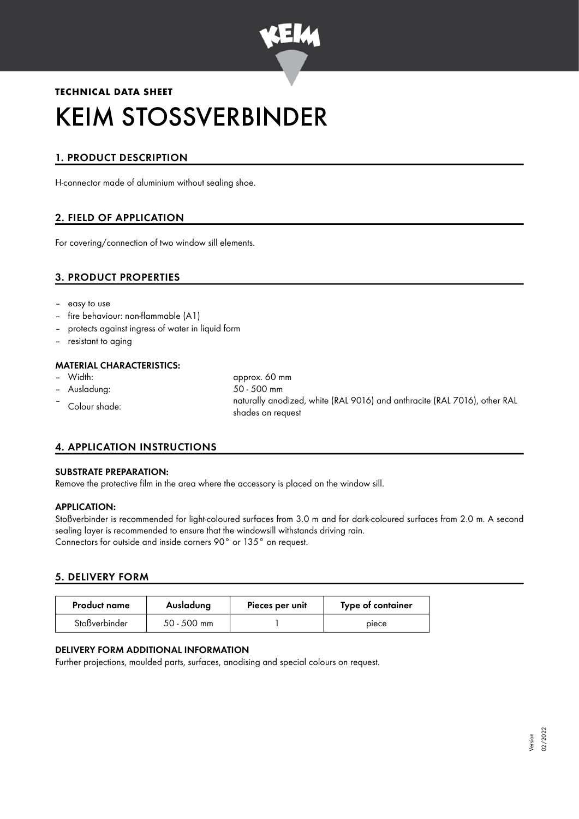

# **TECHNICAL DATA SHEET** KEIM STOSSVERBINDER

## 1. PRODUCT DESCRIPTION

H-connector made of aluminium without sealing shoe.

## 2. FIELD OF APPLICATION

For covering/connection of two window sill elements.

## 3. PRODUCT PROPERTIES

- easy to use
- fire behaviour: non-flammable (A1)
- protects against ingress of water in liquid form
- resistant to aging

## **MATERIAL CHARACTERISTICS:**<br>- Width:

- 
- 
- 

approx. 60 mm – Ausladung: 50 - 500 mm – Colour shade: naturally anodized, white (RAL 9016) and anthracite (RAL 7016), other RAL shades on request

## 4. APPLICATION INSTRUCTIONS

#### SUBSTRATE PREPARATION:

Remove the protective film in the area where the accessory is placed on the window sill.

#### APPLICATION:

Stoßverbinder is recommended for light-coloured surfaces from 3.0 m and for dark-coloured surfaces from 2.0 m. A second sealing layer is recommended to ensure that the windowsill withstands driving rain. Connectors for outside and inside corners 90° or 135° on request.

#### 5. DELIVERY FORM

| <b>Product name</b> | Ausladung     | Pieces per unit | Type of container |
|---------------------|---------------|-----------------|-------------------|
| Stoßverbinder       | $50 - 500$ mm |                 | piece             |

#### DELIVERY FORM ADDITIONAL INFORMATION

Further projections, moulded parts, surfaces, anodising and special colours on request.